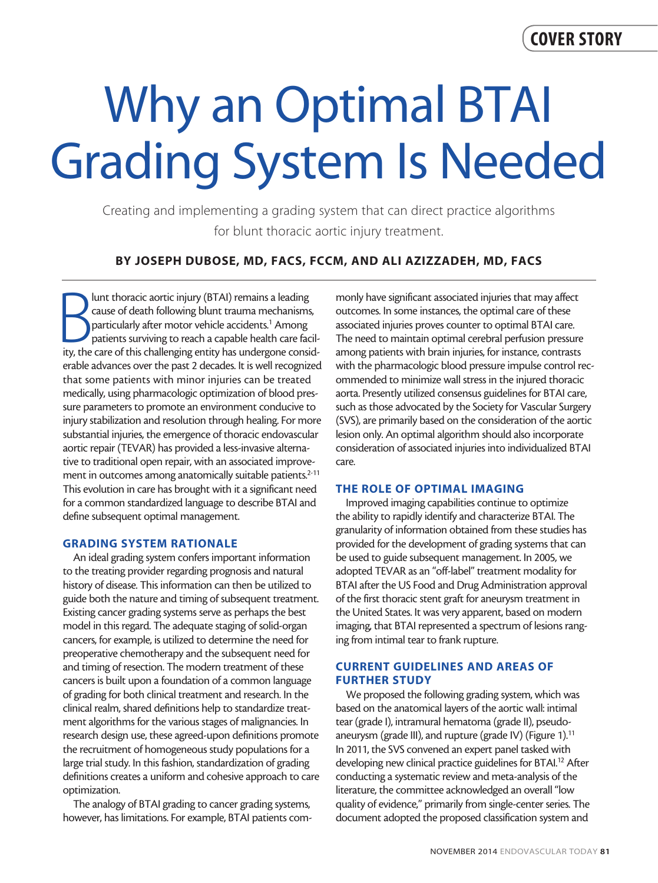# Why an Optimal BTAI Grading System Is Needed

Creating and implementing a grading system that can direct practice algorithms for blunt thoracic aortic injury treatment.

# BY JOSEPH DUBOSE, MD, FACS, FCCM, AND ALI AZIZZADEH, MD, FACS

Iunt thoracic aortic injury (BTAI) remains a leading<br>
cause of death following blunt trauma mechanisms,<br>
particularly after motor vehicle accidents.<sup>1</sup> Among<br>
patients surviving to reach a capable health care facil-<br>
ity, lunt thoracic aortic injury (BTAI) remains a leading cause of death following blunt trauma mechanisms, particularly after motor vehicle accidents.<sup>1</sup> Among patients surviving to reach a capable health care facilerable advances over the past 2 decades. It is well recognized that some patients with minor injuries can be treated medically, using pharmacologic optimization of blood pressure parameters to promote an environment conducive to injury stabilization and resolution through healing. For more substantial injuries, the emergence of thoracic endovascular aortic repair (TEVAR) has provided a less-invasive alternative to traditional open repair, with an associated improvement in outcomes among anatomically suitable patients.<sup>2-11</sup> This evolution in care has brought with it a significant need for a common standardized language to describe BTAI and define subsequent optimal management.

## GRADING SYSTEM RATIONALE

An ideal grading system confers important information to the treating provider regarding prognosis and natural history of disease. This information can then be utilized to guide both the nature and timing of subsequent treatment. Existing cancer grading systems serve as perhaps the best model in this regard. The adequate staging of solid-organ cancers, for example, is utilized to determine the need for preoperative chemotherapy and the subsequent need for and timing of resection. The modern treatment of these cancers is built upon a foundation of a common language of grading for both clinical treatment and research. In the clinical realm, shared definitions help to standardize treatment algorithms for the various stages of malignancies. In research design use, these agreed-upon definitions promote the recruitment of homogeneous study populations for a large trial study. In this fashion, standardization of grading definitions creates a uniform and cohesive approach to care optimization.

The analogy of BTAI grading to cancer grading systems, however, has limitations. For example, BTAI patients commonly have significant associated injuries that may affect outcomes. In some instances, the optimal care of these associated injuries proves counter to optimal BTAI care. The need to maintain optimal cerebral perfusion pressure among patients with brain injuries, for instance, contrasts with the pharmacologic blood pressure impulse control recommended to minimize wall stress in the injured thoracic aorta. Presently utilized consensus guidelines for BTAI care, such as those advocated by the Society for Vascular Surgery (SVS), are primarily based on the consideration of the aortic lesion only. An optimal algorithm should also incorporate consideration of associated injuries into individualized BTAI care.

## THE ROLE OF OPTIMAL IMAGING

Improved imaging capabilities continue to optimize the ability to rapidly identify and characterize BTAI. The granularity of information obtained from these studies has provided for the development of grading systems that can be used to guide subsequent management. In 2005, we adopted TEVAR as an "off-label" treatment modality for BTAI after the US Food and Drug Administration approval of the first thoracic stent graft for aneurysm treatment in the United States. It was very apparent, based on modern imaging, that BTAI represented a spectrum of lesions ranging from intimal tear to frank rupture.

## CURRENT GUIDELINES AND AREAS OF FURTHER STUDY

We proposed the following grading system, which was based on the anatomical layers of the aortic wall: intimal tear (grade I), intramural hematoma (grade II), pseudoaneurysm (grade III), and rupture (grade IV) (Figure 1). $11$ In 2011, the SVS convened an expert panel tasked with developing new clinical practice guidelines for BTAI.<sup>12</sup> After conducting a systematic review and meta-analysis of the literature, the committee acknowledged an overall "low quality of evidence," primarily from single-center series. The document adopted the proposed classification system and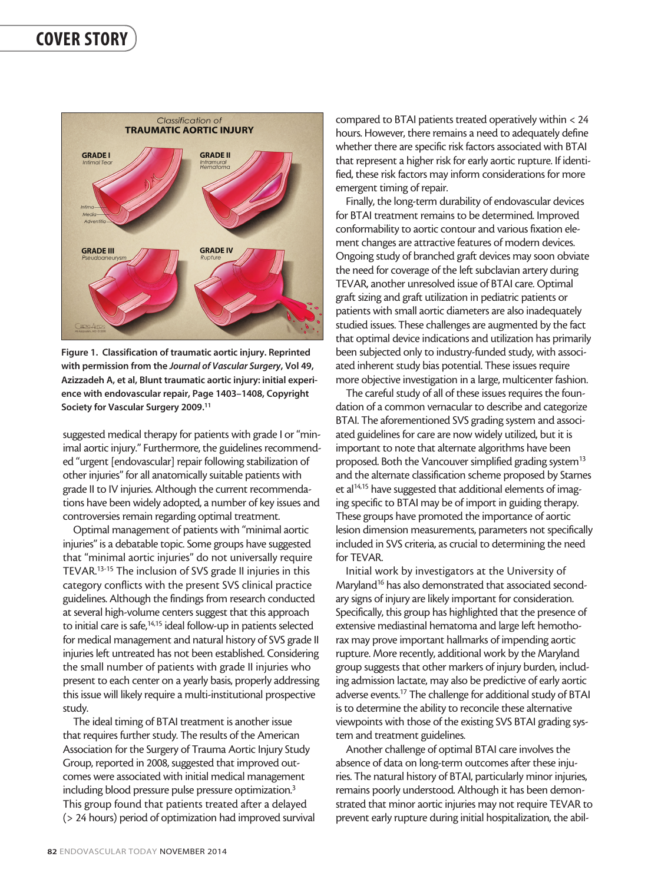

Figure 1. Classification of traumatic aortic injury. Reprinted with permission from the *Journal of Vascular Surgery*, Vol 49, Azizzadeh A, et al, Blunt traumatic aortic injury: initial experience with endovascular repair, Page 1403–1408, Copyright Society for Vascular Surgery 2009.<sup>11</sup>

suggested medical therapy for patients with grade I or "minimal aortic injury." Furthermore, the guidelines recommended "urgent [endovascular] repair following stabilization of other injuries" for all anatomically suitable patients with grade II to IV injuries. Although the current recommendations have been widely adopted, a number of key issues and controversies remain regarding optimal treatment.

Optimal management of patients with "minimal aortic injuries" is a debatable topic. Some groups have suggested that "minimal aortic injuries" do not universally require TEVAR.13-15 The inclusion of SVS grade II injuries in this category conflicts with the present SVS clinical practice guidelines. Although the findings from research conducted at several high-volume centers suggest that this approach to initial care is safe,<sup>14,15</sup> ideal follow-up in patients selected for medical management and natural history of SVS grade II injuries left untreated has not been established. Considering the small number of patients with grade II injuries who present to each center on a yearly basis, properly addressing this issue will likely require a multi-institutional prospective study.

The ideal timing of BTAI treatment is another issue that requires further study. The results of the American Association for the Surgery of Trauma Aortic Injury Study Group, reported in 2008, suggested that improved outcomes were associated with initial medical management including blood pressure pulse pressure optimization.<sup>3</sup> This group found that patients treated after a delayed (> 24 hours) period of optimization had improved survival

compared to BTAI patients treated operatively within < 24 hours. However, there remains a need to adequately define whether there are specific risk factors associated with BTAI that represent a higher risk for early aortic rupture. If identified, these risk factors may inform considerations for more emergent timing of repair.

Finally, the long-term durability of endovascular devices for BTAI treatment remains to be determined. Improved conformability to aortic contour and various fixation element changes are attractive features of modern devices. Ongoing study of branched graft devices may soon obviate the need for coverage of the left subclavian artery during TEVAR, another unresolved issue of BTAI care. Optimal graft sizing and graft utilization in pediatric patients or patients with small aortic diameters are also inadequately studied issues. These challenges are augmented by the fact that optimal device indications and utilization has primarily been subjected only to industry-funded study, with associated inherent study bias potential. These issues require more objective investigation in a large, multicenter fashion.

The careful study of all of these issues requires the foundation of a common vernacular to describe and categorize BTAI. The aforementioned SVS grading system and associated guidelines for care are now widely utilized, but it is important to note that alternate algorithms have been proposed. Both the Vancouver simplified grading system<sup>13</sup> and the alternate classification scheme proposed by Starnes et al<sup>14,15</sup> have suggested that additional elements of imaging specific to BTAI may be of import in guiding therapy. These groups have promoted the importance of aortic lesion dimension measurements, parameters not specifically included in SVS criteria, as crucial to determining the need for TEVAR.

Initial work by investigators at the University of Maryland<sup>16</sup> has also demonstrated that associated secondary signs of injury are likely important for consideration. Specifically, this group has highlighted that the presence of extensive mediastinal hematoma and large left hemothorax may prove important hallmarks of impending aortic rupture. More recently, additional work by the Maryland group suggests that other markers of injury burden, including admission lactate, may also be predictive of early aortic adverse events.<sup>17</sup> The challenge for additional study of BTAI is to determine the ability to reconcile these alternative viewpoints with those of the existing SVS BTAI grading system and treatment guidelines.

Another challenge of optimal BTAI care involves the absence of data on long-term outcomes after these injuries. The natural history of BTAI, particularly minor injuries, remains poorly understood. Although it has been demonstrated that minor aortic injuries may not require TEVAR to prevent early rupture during initial hospitalization, the abil